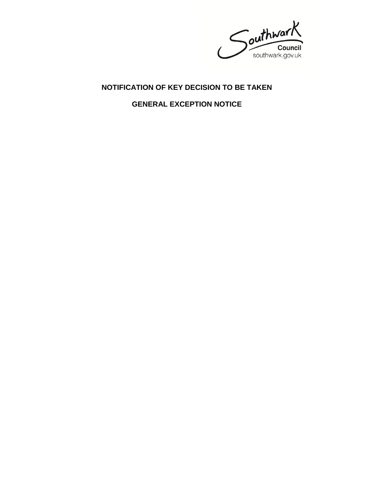Southwark Council<br>southwark.gov.uk

## **NOTIFICATION OF KEY DECISION TO BE TAKEN**

**GENERAL EXCEPTION NOTICE**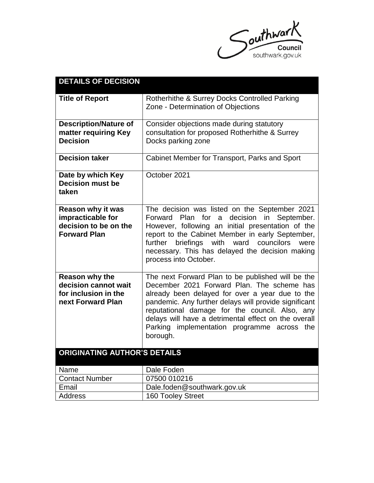

| <b>DETAILS OF DECISION</b>                                                                    |                                                                                                                                                                                                                                                                                                                                                                                  |
|-----------------------------------------------------------------------------------------------|----------------------------------------------------------------------------------------------------------------------------------------------------------------------------------------------------------------------------------------------------------------------------------------------------------------------------------------------------------------------------------|
| <b>Title of Report</b>                                                                        | Rotherhithe & Surrey Docks Controlled Parking<br>Zone - Determination of Objections                                                                                                                                                                                                                                                                                              |
| <b>Description/Nature of</b><br>matter requiring Key<br><b>Decision</b>                       | Consider objections made during statutory<br>consultation for proposed Rotherhithe & Surrey<br>Docks parking zone                                                                                                                                                                                                                                                                |
| <b>Decision taker</b>                                                                         | Cabinet Member for Transport, Parks and Sport                                                                                                                                                                                                                                                                                                                                    |
| Date by which Key<br><b>Decision must be</b><br>taken                                         | October 2021                                                                                                                                                                                                                                                                                                                                                                     |
| <b>Reason why it was</b><br>impracticable for<br>decision to be on the<br><b>Forward Plan</b> | The decision was listed on the September 2021<br>Forward Plan for a<br>decision in September.<br>However, following an initial presentation of the<br>report to the Cabinet Member in early September,<br>briefings with ward councilors<br>further<br>were<br>necessary. This has delayed the decision making<br>process into October.                                          |
| Reason why the<br>decision cannot wait<br>for inclusion in the<br>next Forward Plan           | The next Forward Plan to be published will be the<br>December 2021 Forward Plan. The scheme has<br>already been delayed for over a year due to the<br>pandemic. Any further delays will provide significant<br>reputational damage for the council. Also, any<br>delays will have a detrimental effect on the overall<br>Parking implementation programme across the<br>borough. |
| ORIGINATING AUTHOR'S DETAILS                                                                  |                                                                                                                                                                                                                                                                                                                                                                                  |
| Name                                                                                          | Dale Foden                                                                                                                                                                                                                                                                                                                                                                       |
| <b>Contact Number</b>                                                                         | 07500 010216                                                                                                                                                                                                                                                                                                                                                                     |
| Email                                                                                         | Dale.foden@southwark.gov.uk                                                                                                                                                                                                                                                                                                                                                      |
| <b>Address</b>                                                                                | <b>160 Tooley Street</b>                                                                                                                                                                                                                                                                                                                                                         |